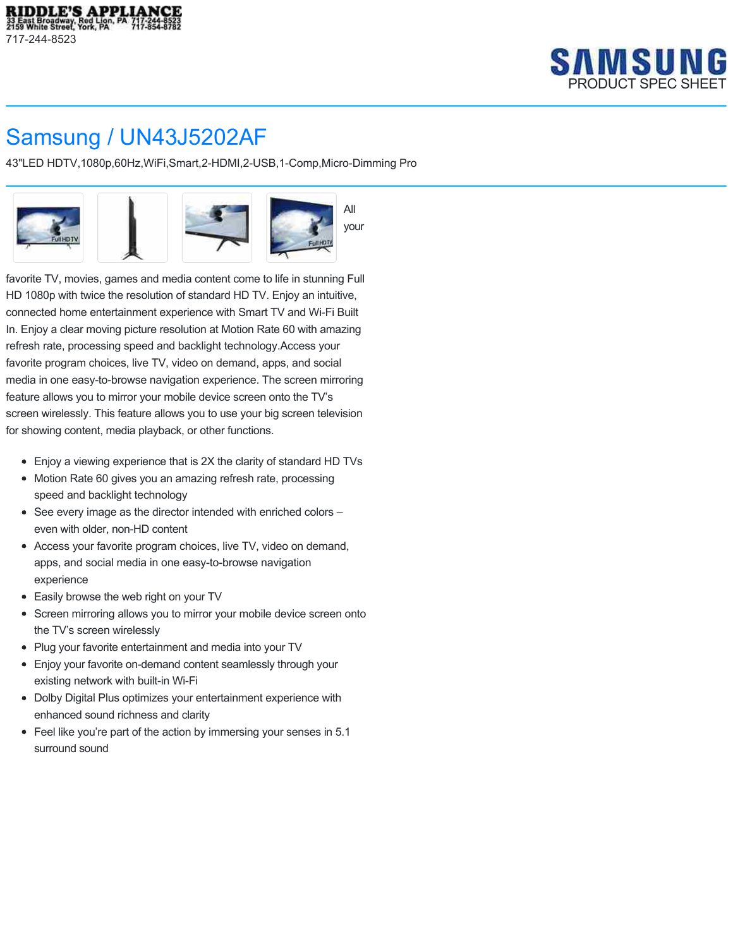

## Samsung / UN43J5202AF

43"LED HDTV,1080p,60Hz,WiFi,Smart,2-HDMI,2-USB,1-Comp,Micro-Dimming Pro



favorite TV, movies, games and media content come to life in stunning Full HD 1080p with twice the resolution of standard HD TV. Enjoy an intuitive, connected home entertainment experience with Smart TV and Wi-Fi Built In. Enjoy a clear moving picture resolution at Motion Rate 60 with amazing refresh rate, processing speed and backlight technology.Access your favorite program choices, live TV, video on demand, apps, and social media in one easy-to-browse navigation experience. The screen mirroring feature allows you to mirror your mobile device screen onto the TV's screen wirelessly. This feature allows you to use your big screen television for showing content, media playback, or other functions.

- Enjoy a viewing experience that is 2X the clarity of standard HD TVs
- Motion Rate 60 gives you an amazing refresh rate, processing speed and backlight technology
- See every image as the director intended with enriched colors even with older, non-HD content
- Access your favorite program choices, live TV, video on demand, apps, and social media in one easy-to-browse navigation experience
- Easily browse the web right on your TV
- Screen mirroring allows you to mirror your mobile device screen onto the TV's screen wirelessly
- Plug your favorite entertainment and media into your TV
- Enjoy your favorite on-demand content seamlessly through your existing network with built-in Wi-Fi
- Dolby Digital Plus optimizes your entertainment experience with enhanced sound richness and clarity
- Feel like you're part of the action by immersing your senses in 5.1 surround sound